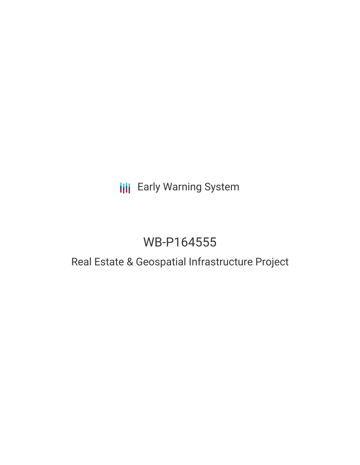## **III** Early Warning System

# WB-P164555

### Real Estate & Geospatial Infrastructure Project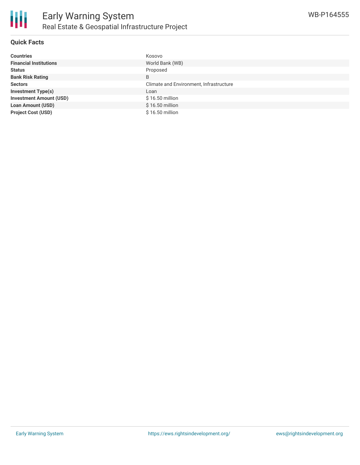

#### **Quick Facts**

| <b>Countries</b>               | Kosovo                                  |
|--------------------------------|-----------------------------------------|
| <b>Financial Institutions</b>  | World Bank (WB)                         |
| <b>Status</b>                  | Proposed                                |
| <b>Bank Risk Rating</b>        | B                                       |
| <b>Sectors</b>                 | Climate and Environment, Infrastructure |
| <b>Investment Type(s)</b>      | Loan                                    |
| <b>Investment Amount (USD)</b> | \$16.50 million                         |
| <b>Loan Amount (USD)</b>       | \$16.50 million                         |
| <b>Project Cost (USD)</b>      | \$16.50 million                         |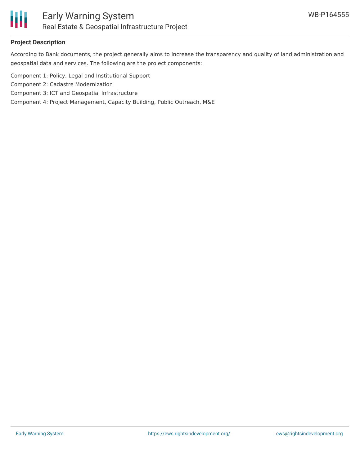

#### **Project Description**

According to Bank documents, the project generally aims to increase the transparency and quality of land administration and geospatial data and services. The following are the project components:

- Component 1: Policy, Legal and Institutional Support
- Component 2: Cadastre Modernization
- Component 3: ICT and Geospatial Infrastructure
- Component 4: Project Management, Capacity Building, Public Outreach, M&E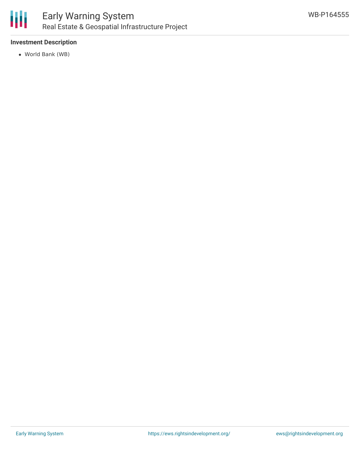

#### **Investment Description**

World Bank (WB)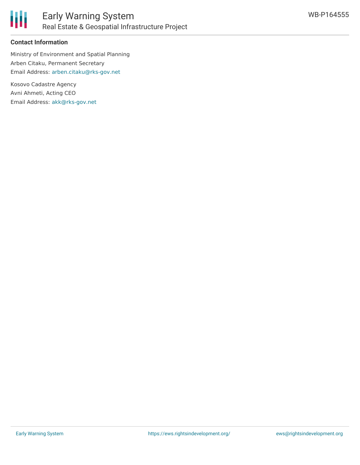

#### **Contact Information**

Ministry of Environment and Spatial Planning Arben Citaku, Permanent Secretary Email Address: [arben.citaku@rks-gov.net](mailto:arben.citaku@rks-gov.net)

Kosovo Cadastre Agency Avni Ahmeti, Acting CEO Email Address: [akk@rks-gov.net](mailto:akk@rks-gov.net)